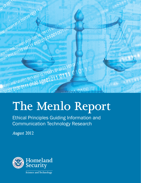

# **The Menlo Report**

Ethical Principles Guiding Information and Communication Technology Research

*August 2012*

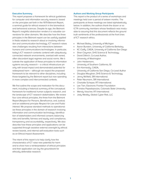#### **Executive Summary**

This report proposes a framework for ethical guidelines for computer and information security research, based on the principles set forth in the 1979 Belmont Report, a seminal guide for ethical research in the biomedical and behavioral sciences. Despite its age, the Belmont Report's insightful abstraction renders it a valuable cornerstone for other domains. We describe how the three principles in the Belmont report can be usefully applied in fields related to research about or involving information and communication technology. ICT research raises new challenges resulting from interactions between humans and communications technologies. In particular, today's ICT research contexts contend with ubiquitously connected network environments, overlaid with varied, often discordant legal regimes and social norms. We illustrate the application of these principles to information systems security research – a critical infrastructure priority with broad impact and demonstrated potential for widespread harm – although we expect the proposed framework to be relevant to other disciplines, including those targeted by the Belmont report but now operating in more complex and interconnected contexts.

We first outline the scope and motivation for this document, including a historical summary of the conceptual framework for traditional human subjects research, and the landscape of ICT research stakeholders. We review four core ethical principles, the three from the Belmont Report (Respect for Persons, Beneficence, and Justice) and an additional principle Respect for Law and Public Interest. We propose standard methods to operationalize these principles in the domain of research involving information and communication technology: identification of stakeholders and informed consent; balancing risks and benefits; fairness and equity; and compliance, transparency and accountability, respectively. We also describe how these principles and applications can be supported through assistive external oversight by ethical review boards, and internal self-evaluation tools such as an Ethical Impact Assessment.

The intent of this report is to help clarify how the characteristics of ICT raise new potential for harm and to show how a reinterpretation of ethical principles and their application can lay the groundwork for ethically defensible research.

#### **Authors and Working Group Participants**

This report is the product of a series of workshops and meetings held over a period of sixteen months. The participants at these meetings are listed alphabetically below. In addition, the authors thank the dozen or so ICTR community members whose feedback was invaluable to assuring that this document reflects the ground truth sentiments of the professionals at the front lines of ICT research ethics.

- Michael Bailey, University of Michigan
- Aaron Burstein, University of California Berkeley
- KC Claffy, CAIDA, University of California San Diego
- Shari Clayman, DHS Science & Technology
- David Dittrich, Co-Lead Author, University of Washington
- John Heidemann, University of Southern California, ISI
- Erin Kenneally, CAIDA, University of California San Diego, Co-Lead Author
- Douglas Maughan, DHS Science & Technology
- Jenny McNeill, SRI International
- Peter Neumann, SRI International
- Charlotte Scheper, RTI International
- Lee Tien, Electronic Frontier Foundation
- Christos Papadopoulos, Colorado State University
- Wendy Visscher, RTI International
- Jody Westby, Global Cyber Risk, LLC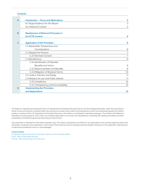## **Contents**

| A | <b>Introduction – Focus and Motivations</b> | 3  |
|---|---------------------------------------------|----|
|   | A.1 Target Audience for this Report         | 3  |
|   | A.2 Historical Context                      | 3  |
|   |                                             |    |
| B | <b>Restatement of Belmont Principles in</b> |    |
|   | the <b>ICTR</b> Context                     | 4  |
|   |                                             |    |
| C | <b>Application of the Principles</b>        | 5  |
|   | C.1 Stakeholder Perspectives and            |    |
|   | Considerations                              | 6  |
|   | C.2 Respect for Persons                     | 7  |
|   | C.2.1 Informed Consent                      | 7  |
|   | C.3 Beneficence                             | 9  |
|   | C.3.1 Identification of Potential           |    |
|   | Benefits and Harms                          | 9  |
|   | C.3.2 Balancing Risks and Benefits          | 9  |
|   | C.3.3 Mitigation of Realized Harms          | 10 |
|   | C.4 Justice: Fairness and Equity            | 11 |
|   | C.5 Respect for Law and Public Interest     | 11 |
|   | C.5.1 Compliance                            | 12 |
|   | C.5.2 Transparency and Accountability       | 12 |
| D | <b>Implementing the Principles</b>          |    |
|   | and Applications                            | 12 |

This Report is supported by funding from the U.S. Department of Homeland Security Science and Technology Directorate, Cyber Security Division. Points of view and opinions contained within this document are those of the authors and participants and do not necessarily represent the official position or policies of the U.S. Department of Homeland Security or the authors or participants' respective employers. The content of this Report is intended to provide guidance, and it does not constitute legal advice nor should it be interpreted as conflicting with statutory mandates and other authoritative commitments governing actions by the Government.

This publication is intended for information purposes only. The authors, participants, and DHS are not responsible for the use that might be made of the information contained in this publication, or the content of the external sources including external websites referenced in this publication. Reproduction is authorized provided the source is acknowledged.

#### **Contact details:**

For general inquiries about this publication, please use the following details: Email: Menlo\_Report@hq.dhs.gov Internet: http://www.dhs.gov/csd-resources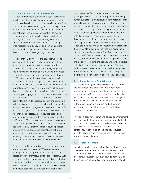#### **A Introduction – Focus and Motivations**

This report attempts to summarize a set of basic principles to guide the identification and resolution of ethical problems arising in research of or involving information and communication technology (ICT).1 ICT is a general umbrella term that encompasses networks, hardware and software technologies that involve information communications pertaining to or impacting individuals and organizations. ICT has increasingly become integrated into our individual and collective daily lives, mediating our behaviors and communications and presenting new tensions that challenge the applications of these guiding principles.

ICT research (ICTR) involves the collection, use and disclosure of information and/or interaction with this ubiquitously connected network context which is overlaid with varied, often discordant legal regimes and social norms. The challenge of evaluating the ethical issues in ICTR stems in large part from the attributes of ICT: scale, speed, tight coupling, decentralization and wide distribution, and opacity. This environment complicates achieving ethically defensible research for several reasons. It results in interactions with humans that are often indirect, stemming from an increase in either logical or physical "distance" between researcher and humans to be protected over research involving direct intervention. The relative ease in engaging multitudes of distributed human subjects (or data about them) through intermediating systems speeds the potential for harms to arise, and extends the range of stakeholders who may be impacted. Also, legal restrictions and requirements have expanded considerably since the 1980s, and ICTR is unquestionably subject to a variety of laws and regulations that address data collection and use. While it is true that these individual complications are shared by traditional biomedical and behavioral research, this report seeks to manage the tension resulting from the simultaneous confluence of these complicating factors that occur with regularity in ICTR.

There is a need to interpret and extend the traditional ethical framework to enable ICT researchers and oversight entities to appropriately and consistently assess and render ethically defensible research.2 Such a framework should also support current and potential institutional mechanisms that are well served to implement it, such as a research ethics board (REB). We build on the foundation set by the Belmont Report, which

articulates three fundamental ethical principles and guiding applications of these principles for protecting human subjects of biomedical and behavioral research: respecting persons; balancing potential benefits and harms; and equitably apportioning benefits and burdens across research subjects and society.3 The guidelines in this report are applicable to research that has the potential to harm humans, regardless of whether those humans are the direct research subjects or are indirectly at risk of harm from interactions with ICT. This report explains how the traditional framework fits within the context of the computer science sub-discipline of information security research. Specifically, this domain addresses ICT vulnerabilities, digital crime, and information assurance for critical infrastructure systems. These are areas where harms are not well understood yet are potentially significant in scope and impact. The framework proposed herein is germane to other disciplines that involve the use of ICT, including those targeted by the Belmont Report that now operate in ICT contexts.

#### **A.1 Target Audience for this Report**

This report offers guidance primarily for ICT researchers (including academic, corporate, and independent researchers), professional societies, publication review committees, and funding agencies. Secondarily, this report aims to assist those who administer and apply these principles, such as oversight authorities (e.g., REBs), policy makers, attorneys, and others who shape and implement human subject protection policies and procedures.

This report does not recommend particular enforcement mechanisms. To the extent that enforcement of ethical practices is inconsistent across and within academic and non-academic ICTR, we intend this report to improve consistency in ethical analyses and self-regulation for both individuals and organizations striving toward ethically defensible research.

#### **A.2 Historical Context**

Despite a long history of well-publicized abuses, it took over a decade for the ethical standards prescribed in the Belmont Report to first be defined in the Code of Federal Regulations (CFR). Language from 45 CFR 46, which covers biomedical and behavioral research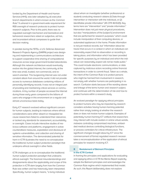funded by the Department of Health and Human Services (HHS), was later adopted by all executive branch departments in what is known as the Common Rule.<sup>4</sup> It ushered in a government-wide requirement for REB oversight of research protocols to protect human research subjects. Prior to this point, there was no regulated oversight mechanism and biomedical and behavioral researchers relied on subjective, ad hoc, and inconsistent ethical compasses to guide their decision making.

In parallel during the 1970s, a U.S. Defense Advanced Research Projects Agency (DARPA) project was designing and implementing a communications architecture to support cooperative time-sharing of computational resources across large government-funded laboratories. Although this network architecture would eventually evolve into the global Internet, the community at the time was small, trusted, non-commercial, and research-oriented. This burgeoning Internet was not under constant attack from around the world. It did not provide access to numerous databases containing millions of personally-identifying records. It was not an integral part of providing and maintaining critical services or communications. A tiny number of people accessed the Internet during those early years compared to the billions of users who engage in this environment on a regular and almost unconscious basis today.

Early ICT research evolved without significant concern for human subjects, leading to instances where ethical considerations were either absent or misapplied because researchers failed to understand their relevance, or lacked any standards for assessment, accountability, or oversight. Cases include interactive studies of malicious software and platforms, engagement in active counterattack measures, exploitation and disclosure of systems vulnerabilities, and collection and sharing of sensitive information. The demonstrated potential for harm in ICTR illustrates the need to re-conceptualize the traditional human subject protection paradigm that underpins ethical oversight in other fields.

ICTR challenges us to re-conceptualize the traditional human subject protection paradigm that underpins ethical oversight. The foremost misunderstandings and disagreements about the applicability and scope of this protection in ICTR stem largely from how the Common Rule was written and has historically been interpreted. Specifically, human subject means, "a living individual

about whom an investigator (whether professional or student) conducting research obtains (1) Data through intervention or interaction with the individual, or (2) Identifiable private information" (45 CFR 46.102(f)). Key terms here are "intervention" and "private information." Intervention does not just mean physical procedures, but also "manipulations of the [subject's] environment that are performed for research purposes," which could include manipulation of their computing devices, or automated appliances in the home. Private information is not just medical records, but "information about behavior that occurs in a context in which an individual can reasonably expect that no observation or recording is taking place, and information which has been provided for specific purposes by an individual and which the individual can reasonably expect will not be made public." This could include electronic communications, or data captured by malicious actors recording online financial transactions in order to commit fraud. Taken as a whole, the intent of the Common Rule is to protect persons who might be harmed from involvement in research, not simply with whether humans are participating in research. Confusion starts because of the wording above and linkage of the terms human and research subject, and continues with the determination of risk and how to protect humans within a research study.

An evolved paradigm for applying ethical principles to protect humans who may be impacted by research considers activities having human-harming potential rather than simply looking at whether the research does or does not involve human subjects. Examples of potentially human-harming ICT artifacts that researchers may interact with include avatars in online virtual worlds, malware controlling compromised machines, embedded medical devices controlling biological functions, or process controllers for critical infrastructure. The significant changes brought about by ICT since the commencement of formal regulated research necessitates a reconceptualization of the application of ethical principles for research involving ICT.

# **B Restatement of Belmont Principles in the ICTR Context**

In framing the principles and applications for evaluating and applying ethics in ICTR the Menlo Report explicitly adopts the Belmont principles and acknowledges the Common Rule regime which implemented that model. As such, this Report deliberately does not explore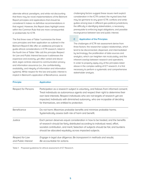alternate ethical paradigms, and while not discounting that there may be novel implementations of the Belmont Report principles and applications that should be considered it makes no definitive recommendations in that regard. However, this Report does highlight areas within the Common Rule that are more consequential or problematic for ICTR.

The first three rows of Table 1 summarize the three core principles and their application as outlined in the Belmont Report.5 We offer an additional principle to guide ethical considerations in ICTR research, listed in the fourth line of Table 1 We call this principle Respect for Law and Public Interest because it addresses the expansive and evolving, yet often varied and discordant, legal controls relevant to communication privacy and information assurance (i.e., the confidentiality, availability, and integrity of information and information systems). While respect for the law and public interest is implicit in Belmont's application of Beneficence, several

challenging factors suggest these issues merit explicit consideration in the ICTR context: the myriad laws that may be germane to any given ICTR; conflicts and ambiguities among laws in different geo-political jurisdictions; the difficulty in identifying stakeholders, a necessary prerequisite to enforcing legal obligations; and possible incongruence between law and public interest.

# **C Application of the Principles**

The challenges of ICTR risk assessment derive from three factors: the researcher-subject relationships, which tend to be disconnected, dispersed, and intermediated by technology; the proliferation of data sources and analytics, which can heighten risk incalculably; and the inherent overlap between research and operations. In order to properly apply any of the principles listed above in the complex setting of ICT research, it is first necessary to perform a systematic and comprehensive stakeholder analysis.

| <b>Principle</b>                       | <b>Application</b>                                                                                                                                                                                                                                                                                                                                                                           |  |
|----------------------------------------|----------------------------------------------------------------------------------------------------------------------------------------------------------------------------------------------------------------------------------------------------------------------------------------------------------------------------------------------------------------------------------------------|--|
| Respect for Persons                    | Participation as a research subject is voluntary, and follows from informed consent;<br>Treat individuals as autonomous agents and respect their right to determine their<br>own best interests; Respect individuals who are not targets of research yet are<br>impacted; Individuals with diminished autonomy, who are incapable of deciding<br>for themselves, are entitled to protection. |  |
| Beneficence                            | Do not harm; Maximize probable benefits and minimize probable harms;<br>Systematically assess both risk of harm and benefit.                                                                                                                                                                                                                                                                 |  |
| Justice                                | Each person deserves equal consideration in how to be treated, and the benefits<br>of research should be fairly distributed according to individual need, effort,<br>societal contribution, and merit; Selection of subjects should be fair, and burdens<br>should be allocated equitably across impacted subjects.                                                                          |  |
| Respect for Law<br>and Public Interest | Engage in legal due diligence; Be transparent in methods and results;<br>Be accountable for actions.                                                                                                                                                                                                                                                                                         |  |

Table 1: Proposed guidelines for ethical assessment of ICT Research.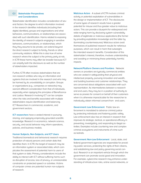## **C.1 Stakeholder Perspectives and Considerations**

Stakeholder identification includes consideration of several factors: the degree to which information involved in the research identifies individuals (including their digital identities), groups and organizations and what behaviors, communications, or relationships are associated with such identification. Harms related to exposing the identity of research subjects engaging in sensitive behaviors, communications, or relationships, which they they assume to be private, can extend beyond the direct research subject to family, friends or other community relations. While this is also true of some research where the subject is the primary party at risk, in ICTR these harms may often be broader because ICT can amplify both the disclosure as well as the number of stakeholders impacted.

Further, ICTR often involves stakeholders that are non-research entities who rely on information and systems that are involved in the research and who may be harmed by its unavailability or corruption. Groups or organizations (e.g., companies or networks) may warrant different consideration from that of individuals, especially when applying the principles of Beneficence and Justice. Research involving ICT can be complex when the risks and benefits associated with multiple stakeholders require identification and balancing. ICT Researchers In commercial, academic, and government sectors,

**ICT researchers** have a vested interest in pursuing, sharing, and applying empirically grounded scientific knowledge. Research in economics, network science, security, and social behavior may inform operations, policies, and business models.

#### **Human Subjects, Non-Subjects, and ICT Users**

Traditional biomedical and behavioral research requires protection of natural persons and certain data that identifies them. In ICTR, the target of research may be an information system or associated data, which complicates the assessment of potential harm to users of that system or data. Primary considerations include the ability to interact with ICT without suffering harms such as disruption of access, loss of privacy, or unreasonable constraints on protected speech or activities. Victims of computer crimes are potential human non-subjects of research.

**Malicious Actors** A subset of ICTR involves criminal activity or potential exploitation of vulnerabilities in the design or implementation of ICT. The disclosures of some types of research results have a greater potential for misuse and thus greater value to malicious actors. This can provide a blueprint for widespread and wide-ranging harm by disclosing system vulnerability details of legitimate or malicious applications (the former by providing exploitation knowledge and the latter by illuminating countermeasures). Malicious actors avail themselves of published research results for nefarious purposes, which can result in harm that outweighs the intended research benefits. Consideration of this stakeholder's interest, therefore, involves understanding and avoiding or minimizing these potentially harmful impacts.

**Network/Platform Owners and Providers** Network owners or providers are typically commercial entities who are vested in safeguarding their physical and intellectual property, pursuing innovation and wealth, and building business and customer relationships. They are concerned about obligations associated with such representation. As intermediaries between a research and end users, they may be in a position of authority to serve as proxies for consent on behalf of their customers when it is otherwise impracticable for the researcher to individually obtain informed consent from end users.

**Government: Law Enforcement** Public law enforcement is mandated to advance criminal justice by protecting individuals and fostering public safety. Law enforcement also has an interest in research that improves its strategic, tactical, or operational efficacy in preventing, investigating, and responding to illegal activities. Examples include countering new and complex criminal ecosystems and instruments of crime such as botnets.

**Government: Non-Law Enforcement** Local, state, and federal government agencies are responsible for providing public services, protecting the rights of their citizens, and establishing law and policy governing social conduct. Research is an important vehicle through which the government can promote social good and innovation. For example, cybercrime research may enhance understanding of infrastructure risks, online social networks, or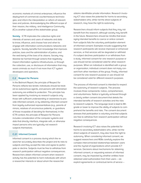economic markets of criminal enterprises; influence the deployment of commercial countermeasure technologies; and inform the interpretation or reform of relevant laws and policies. Acknowledging the different scope of their mission, the military and Intelligence Community (IC) is another subset of this stakeholder group.

**Society** ICTR implicates the collective rights and interests of owners and users of networks and data to know, influence, and choose how and when to engage with information communications networks and systems. Society benefits from knowledge that improves policies, laws and the administration of justice, and the well-being of the lives of its citizens. Society may likewise be harmed through actions that negatively impact information systems infrastructures, or through the collection, use, or disclosure of information that may assist criminals as much if not more than ICT system developers and operators.

# **C.2 Respect for Persons**

In the Belmont Report, the principle of Respect for Persons reflects two tenets: individuals should be treated as autonomous agents, and persons with diminished autonomy are entitled to protection. This principle has been applied by involving as research subjects only those with sufficient understanding or awareness to provide informed consent, or by obtaining informed consent from legally authorized representatives (e.g., parents of minors, relatives of unconscious patients, or guardians of those incapable of deciding for themselves). In the ICTR context, the principle of Respect for Persons includes consideration of the computer systems and data that directly interface, integrate with, or otherwise impact persons who are typically not research subjects themselves.

#### **C.2.1 Informed Consent**

Informed consent is a process during which the researcher accurately describes the project and its risks to subjects and they accept the risks and agree to participate or decline. Subjects must be free to withdraw from research participation without negative consequences. Researchers obtain informed consent when research activity has the potential to harm individuals with whom a researcher interacts or about whom the researcher

obtains identifiable private information. Research involving ICT also raises the potential for harms to secondary stakeholders who, while not the direct subjects of research, may have the right to autonomy.

Researchers should inform subjects that they may not benefit from the research, although society may benefit in the future. Researchers should be mindful that leveraging intended benefits to coerce or entice consent from subjects fails the voluntary participation element of informed consent. Examples include suggesting that research participants will receive improved or enhanced services, or that services will be degraded or withheld if a subject declines participation in or withdraws from a study. Informed consent for one research purpose or use should not be considered valid for other research purposes. When an individual is identified with a group or organization, individual consent does not imply consent from other members of the group. Finally, informed consent for one research purpose or use should not be considered valid for different research purposes.

The process of informed consent is intended to respect the autonomy of research subjects. The process involves three components: notice, comprehension, and voluntariness. Notice is typically achieved through a clearly written consent document that details the intended benefits of research activities and the risks to research subjects. The language level is kept to 8th grade or lower to improve the ability of subjects to comprehend the benefits and risks. The consent document stresses that participation is voluntary and that subjects are free to withdraw from research participation without negative consequences.

Research involving ICT also raises the potential for harms to secondary stakeholders who, while not the direct subjects of research, may also have the right to autonomy. When considering informed consent, we suggest researchers and REBs carefully explore the complex interconnected relationships between users and the myriad of organizations which provide ICT services. Decisions about mechanisms for obtaining informed consent, or requesting waivers of informed consent, may be impacted by whether entities have obtained valid authorization from their users – via explicit agreements or contractual terms of service –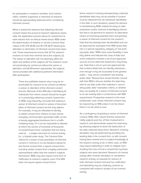for participation in research activities. Such authorization, whether supportive or restrictive of research, should be appropriately balanced when considering informed consent.

When a researcher believes that obtaining informed consent makes the pursuit of research objectives impossible, the application process allows for researchers to seek waivers from an ethical review board. REBs make the determination of whether or not the Common Rule criteria of 45 CFR 46.116 and 45 CFR 46.117 allowing for alteration or elimination of informed consent have been met. These requirements ensure that: (1) The research involves no more than minimal risk to the subjects; (2) The waiver or alteration will not adversely affect the rights and welfare of the subjects; (3) The research could not practicably be carried out without the waiver or alteration; and (4) Whenever appropriate, the subjects will be provided with additional pertinent information after participation.

> There are justifiable reasons why it may be impracticable for research to be carried out without a waiver or alteration of the informed consent process. Because of the difficulty in identifying all individuals from whom consent should be sought or in practicably obtaining consent, researchers or REBs may frequently conclude that seeking a waiver of informed consent or waiver of documentation of informed consent are the only options. For example, it may be infeasible to identify, or obtain consent from millions of users whose everyday communication generates traffic across a heavily aggregated backbone link in a traffic modeling study. Or it can be impossible to attempt to inform the owners of hundreds of thousands of compromised home computers that are being used as a single instrument of criminal activity (i.e., a botnet) under study. The Common Rule criteria for a waiver of documentation of informed consent in minimal or no-risk situations allows for less formal consent than a signed consent form, including verbal consent from a legally authorized representative rather than the research subjects themselves. REBs may also require some form of notification to research subjects, even if the REB does not require signed consent forms.

Some research involving retrospectively collected identifiable data may not be possible if consent must be obtained from all individuals identifiable in the data. In such situations, respect for persons is maintained by REBs instead focusing on data protections and/or removal of identifying information that is not germane to research as alternative means of minimizing potential harm and granting a waiver of informed consent for the research. Data that has already been de-identified and can be approved for exemption from REB review falls into a a special regulatory category of "pre-existing public data." REBs have some flexibility in how they define and interpret this class of data and some institutions maintain a list of pre-approved sources of such data that researchers may freely use. Data that is not on such pre-approved lists that contains fields that can identify individuals – even though it may be accessible to the general public – may not be considered "pre-existing public data." Researchers should therefor consult with their REB to discuss whether the data they wish to use falls under their institution's "pre-existing public data" exemption criteria, or whether they can qualify for a waiver of informed consent to re-use existing data in conformance with REB requirements. Prospective research is the more problematic case, where informed consent may be required by an REB unless it can be shown there is no risk what so ever.

As a contingency of granting a waiver of informed consent, REBs often require that the researcher notify subjects post hoc of their involvement in research, and demonstrate respect for autonomy by allowing subjects to direct the destruction of the data collected about them. Research involving deception may be performed by providing misleading data in the consent form, or with consent having been waived and no subject knowledge of the research activity at all. In either case, an REB may require debriefing in order to mitigate harm resulting from loss of trust in researchers by those subjects who were deceived. Research of criminal activity often involves deception or clandestine research activity, so requests for waivers of both informed consent and post hoc notification and debriefing may be relatively common as compared with research studies of non-criminal activity.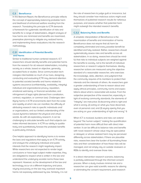#### **C.3 Beneficence**

In the Belmont Report, the Beneficence principle reflects the concept of appropriately balancing probable harm and likelihood of enhanced welfare resulting from the research. Translating this principle to ICTR demands a framework for systematic identification of risks and benefits for a range of stakeholders, diligent analysis of how harms are minimized and benefits are maximized, preemptive planning to mitigate any realized harms, and implementing these evaluations into the research methodology.

# **C.3.1 Identification of Potential Benefits and Harms**

Similar to traditional human-centered research, ICT researchers should identify benefits and potential harms from the research for all relevant stakeholders, including society as a whole, based on objective, generally accepted facts or studies. Since communication technologies intermediate so much of our lives, designing, conducting and evaluating ICTR may demand attention to potential societal benefits and harms related to: systems assurance (confidentiality, availability, integrity); individual and organizational privacy; reputation, emotional well-being, or financial sensitivities; and infringement of legal rights (derived from constitution, contract, regulation, or common law). Challenges identifying harms in ICTR environments stem from the scale and rapidity at which risk can manifest, the difficulty of attributing research risks to specific individuals and/ or organizations, and our limited understanding of the causal dynamics between the physical and virtual worlds. As with all exploratory research, it can be challenging to articulate benefits such that subjects can make informed decisions. In ICTR our ability to qualitatively and quantitatively foresee the probable benefits is particularly immature.

One helpful approach to identifying harms is to review the laws and regulations that apply to an ICTR activity, and analyze the underlying individual and public interests that the research might negatively impact. While researchers are not expected to render legal conclusions or have legal subject matter expertise, they are obligated to respect what is written in the law and understand the underlying societal norms those laws represent. However, as the development of the law and technology occur at a different trajectory and pace, relying exclusively on the law may overlook important harms not expressly addressed by law. Similarly, it is not

the role of researchers to judge guilt or innocence, but they should consider how malicious actors might avail themselves of published research results for nefarious purposes, and assess whether that potential harm might outweigh the intended research benefits.

#### **C.3.2 Balancing Risks and Benefits**

A simplistic interpretation of Beneficence is the maximization of benefits and minimization of harms. Beneficence does not require that all harm be completely eliminated and every possible benefit be identified and fully realized. Rather, researchers should systematically assess risks and benefits across all stakeholders. In so doing, researchers should be mindful that risks to individual subjects are weighed against the benefits to society, not to the benefit of individual researchers or research subjects themselves. Ideally, researcher actions are measured using the objective standard of a reasonable researcher, who exercises the knowledge, skills, attention, and judgment that the community requires of its members to protect their interests and the interests of others. As researchers gain a greater understanding of how to reason about and apply ethical principles, community norms and expectations about what is reasonable will evolve. From the subjective perspective of the researcher, especially in light of evolving community standards, the elements of "integrity" are instructive: (1) discerning what is right and what is wrong, (2) acting on what you have discerned, even at personal cost; and (3) saying openly that you are acting on your understanding of right and wrong." 6

When ICT is involved, burdens and risks can extend beyond "the human subject," making the quantification of potential harm more difficult than with direct intervention. It can be difficult to balance risks and benefits with novel research whose value may be speculative or delayed, or whose realized harm may be perceived differently across stakeholders. If there are plausible risks, researchers bear the burden of illuminating those risks and their consideration of how those risks will be managed, and not simply rely on outside reviewers or REBs to identify and oversee those risks.

In a direct intervention research scenario, balancing is partially addressed through the informed consent process. When a study involves minimal risk and a researcher can give valid scientific reasons for altering or eliminating the consent requirement, post-research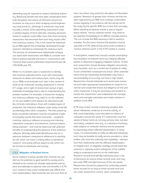debriefing may be required to respect individual autonomy. Balancing benefit and harm gets complicated when both deception and waiver of informed consent are involved, as may occur when studying social engineering using email (i.e., phishing). A researcher may seek to justify a waiver of the debriefing requirement under a relative degree of harm rationale, whereby deceived research subjects could suffer more harm from knowing researchers had deceived them than they would suffer from malicious actions. This in turn would be balanced by an REB against the knowledge developed through research intended to ameliorate the malicious harm. The process of comprehensive stakeholder analysis can assist both researchers and REBs to consider how best to balance benefit and harm in conformance with Common Rule waiver justification requirements (see 45 CFR 46.116 and .117).

While it is incumbent upon a researcher to identify and minimize potential harms, even with reasonable measures to detect and reduce them, harms may still occur. REBs must evaluate such risks in the context of what at-risk individuals actually experience in normal ICT usage, and in light of researchers' pursuit of generalizable knowledge that is vital to understanding the problem studied. For example, a researcher studying live malicious software may need to run the software on his own platform and observe its interactions with the criminals controlling it. Even with multiple layers of protection, the malicious software under study could still accidentally infect other computers. The risks posed by these accidental infections must be considered in light of everyday events that users encounter – programs crashing, malicious software accessing and infecting networked computers, and electronic communications being exposed – and must be balanced with potential benefits of understanding the behavior of the malicious software. Ethically defensible Beneficence lies on a spectrum between unequivocal adherence to averting all risk, which can have a chilling effect on beneficial research, and acting without regard to risk, which can be harmful to individuals and society.

# **C.3.3 Mitigation of Realized Harms**

Some research involves greater than minimal risk, yet still has the potential to yield benefit to society and is allowed to be carried out. Despite appropriate precautions and attempts to balance risks and benefits in ICTR, such research may cause unintended side effects that harm stakeholders. Data breaches are one such form of harm, but others may exist from disruption of information systems. Research of greater than minimal risk that has been approved by an REB must undergo continuation review regularly in accordance with the period set for the study by the specific REB, but no less than annually. While reporting of adverse events is part of regular status reports, "serious adverse events" may need to be reported immediately to an REB for possible actions. This can include the REB requiring a halt to research activities. For the same reasons that benefit is hard to calculate in ICTR, determining what could constitute a "serious adverse event" in the ICTR context is unclear.

In anticipation, researchers should consider preempting the escalation of realized harms by notifying affected parties or otherwise engaging mitigation actions. To that end, researchers should develop mitigation procedures and checklists, such as a contact list of parties to notify, if such unintended consequences ensue. Other potential harms that are reasonably foreseeable may have a low probability of occurring, but have a high impact. Researchers should anticipate such worst-case scenarios and make appropriate preparations to respond in a manner and scope that shows due diligence on the part of the researcher. It may be necessary and prudent to involve the researchers' own institutional risk management and oversight authorities and media relations in addition to the REB.

ICTR may involve records containing sensitive data about individuals, evidence of criminal activity, or that could potentially cause disruption to millions of computers around the world. ICT researchers must be aware of these harms as not only primary risks, but also secondary, collateral risks (e.g., to customers of primary data subjects or computer owners) and be prepared to responsibly inform affected stakeholders. In many cases, it is impracticable to notify all affected individuals, but it may be feasible to notify service providers or other entities who have the authority and capability – derived from their relationship with the affected stakeholders – to mitigate harm. A mitigation strategy should admit the variance in capacity and/or willingness of the notified entity to understand and act on the notification. Research records that identify individuals pose a risk of disclosure as long as those records exist, and may fall under REB oversight because of the risk posed. Researchers should be prepared to continually protect these records for as long as those records exist and are under researchers' control. Upon completion or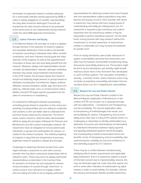termination of approved research activities (allowing for a reasonable retention period approved by REBs in order to satisfy obligations of scientific reproducibility), the risky data should be destroyed. If records are maintained, the data should continue to be protected at the same level as was implemented during research under the same REB-approved mechanisms.

## **C.4 Justice: Fairness and Equity**

In the Belmont Report, the principle of Justice is applied through fairness in the selection of research subjects, and equitable distribution of the burdens and benefits of research according to individual need, effort, societal contribution, and merit. Fairness should guide the initial selection of the subjects, as well as the apportionment of burdens to those who will most likely benefit from the research. Research design and implementation should consider all stakeholders' interests, although conflicting interests may render equal treatment impracticable. In the ICTR context, this principle implies that research should not arbitrarily target persons or groups based on attributes including (but not limited to): religion, political affiliation, sexual orientation, health, age, technical competency, national origin, race, or socioeconomic status. Neither should ICTR target specific populations for the sake of convenience or expediency.

It is important to distinguish between purposefully excluding groups based on prejudice or bias versus purposefully including entities who are willing to cooperate and consent, or who are better able to understand the technical issues raised by the researcher. The former raises Justice concerns, while the latter demonstrates efforts to apply the principles of Respect for Persons and Beneficence and still conduct meaningful research. All researchers have an obligation to not exclude/include individuals or groups from participation for reasons unrelated to the research purpose. The arbitrary targeting of subjects in ways that are not germane to pursuing legitimate research questions violates this principle.

Challenges to obtaining informed consent from users might motivate a researcher to work with a service provider who has direct contractual relationships with its network's users. These may serve as legally authorized representatives as described in the Common Rule for situations of minimal risk and requests for waivers of documentation of consent through "short form" or verbal consent. Such decisions to engage entities who are willing and able to act as legally authorized

representatives for obtaining consent and move forward with non-representative subject populations may raise fairness and equity concerns. Each provider with whom a researcher may interact will have varying levels of understanding and ability (or willingness) to act. If a researcher is required to get unanimous and uniform responses from all autonomous entities, it may be impossible to perform beneficial research. On the other hand, moving forward with risky research without the involvement, or at least awareness, of autonomous entities is undesirable as it may increase the potential for greater harm.

From an equity standpoint, open public disclosure of system vulnerabilities demands that researchers consider how the burdens and benefits of publicizing newly discovered vulnerability balance out. The burdens might be borne by the developers, yet actually might benefit malicious actors more in the short-term than developers or users of those systems. The calculation of benefits is actually a function of time, where malicious actors may act faster at exploiting vulnerability information than benevolent actors can act in mitigating the vulnerabilities.

#### **C.5 Respect for Law and Public Interest**

Respect for Law and Public Interest is implicit in the Belmont Report's application of Beneficence. In the context of ICTR, we include it as a separate principle with two applications – Compliance and Transparency and Accountability. The second application refers to transparency of methodologies and results, and accountability for actions. Transparency and accountability serve vital roles in many ICTR contexts where it is challenging or impossible to identify stakeholders (e.g., attribution of sources and intermediaries of information), to understand interactions between highly dynamic and globally distributed systems and technologies, and consequently to balance associated harms and benefits. A lack of transparency and accountability risks undermining the credibility of, trust and confidence in, and ultimately support for, ICT research.

There may be a conflict between simultaneously satisfying ethical review requirements and applicable legal protections. Even if a researcher obtains a waiver of informed consent due to impracticability reasons, this may not eliminate legal risk under laws that require consent or some other indication of authorization by rights holders in order to avoid liability. For example, information privacy and trespass statutes prohibit researchers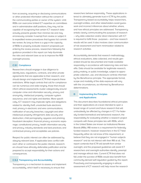from accessing, acquiring or disclosing communications or other protected information without the consent of the communicating parties or owner of the system. Until REBs can overcome limited ICT expertise on committees and in administrative staff positions, they may not be capable of recognizing that certain ICT research data actually presents greater than minimal risk and may erroneously consider it exempt from review or subject it to expedited review procedures that bypass full committee review. As long as there is a gap in the capacity of REBs to properly evaluate research proposals just entering the review process, researchers following the guidance provided in this report can help illuminate the risks and relevant laws so as to improve the REB oversight process.

## **C.5.1 Compliance**

Researchers should engage in due diligence to identify laws, regulations, contracts, and other private agreements that are applicable to their research, and should design and implement ICTR that respects these restrictions. While legal controls that call for compliance can be numerous and wide-ranging, those that should inform ethical assessments cluster categorically around computer crime and information security, privacy and anonymity, intellectual property, computer system assurance, and civil rights and liberties. More specifically, ICT research may implicate rights and obligations related to: identity theft; unsolicited bulk electronic mail; privacy in electronic and wire communications; notification of security breaches; copyright and other intellectual property infringement; data security and destruction; child pornography; spyware and phishing; fraudulent deception; financial privacy; economic espionage; constitutional privacy; health information security and privacy; industry standards and best practices; and contractual privacy and acceptable use policies.

Respect for public interest can often be addressed by obeying relevant laws. If applicable laws conflict with each other or contravene the public interest, researchers should have ethically defensible justification and be prepared to accept responsibility for their actions and consequences.

#### **C.5.2 Transparency and Accountability**

Transparency is a mechanism to assess and implement accountability, which itself is necessary to ensure that

researchers behave responsibly. These applications interact to ultimately generate trust in ICTR by the public. Transparency-based accountability helps researchers, oversight entities, and other stakeholders avoid guesswork and incorrect inferences about whether, where, and how ethical principles are addressed. Transparency entails clearly communicating the purposes of research – why data collection and/or direct interaction with ICT is required to fulfill those purposes – and how research results will be used. It also involves clear communication of risk assessment and harm minimization related to research activities.

Accountability demands that research methodology, ethical evaluations, data collected, and results generated should be documented and made available responsibly in accordance with balancing risks and benefits. Data should be available for legitimate research, policy-making, or public knowledge, subject to appropriate collection, use, and disclosure controls informed by the Beneficence principle. The appropriate format, scope and modality of the data exposure will vary with the circumstances, as informed by Beneficence determinations.

# **D Implementing the Principles and Applications**

This document describes foundational ethical principles and their applications at a level intended to span a broad range of current and future research that will undoubtedly be affected by changes in ICT. For federally funded biomedical and behavioral research, the responsibility for evaluating whether a research project comports with these principles lies with REBs, which in the United States are known as Institutional Review Boards (IRBs). IRB review is a requirement for federally funded research, however researchers in the ICT field frequently either do not know of this requirement, or believe that they are not engaged in "human subjects research" and do not interact with their IRB at all. This report contends that ICTR will benefit from similar oversight, and the proposed guidelines will assist ICT researchers and oversight authorities identify, preempt and manage ethical risks. Current ICTR that does not fall under the purview of REBs would also benefit from community-derived self-regulation guided by this report. Proactively and transparently engaging in ethical assessment of ICT research will help move the research